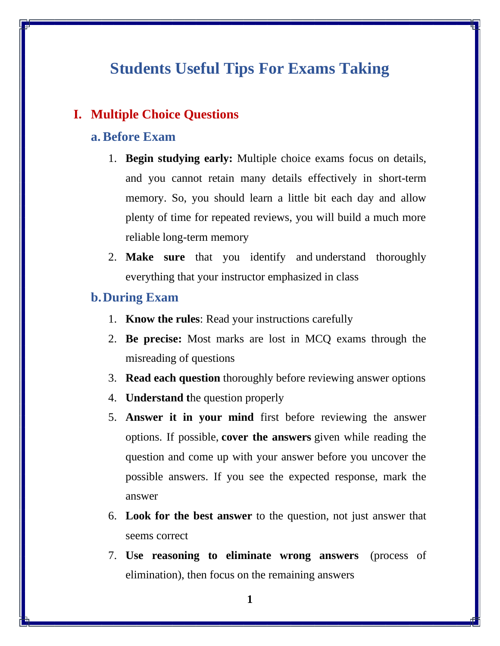## **Students Useful Tips For Exams Taking**

## **I. Multiple Choice Questions**

#### **a.Before Exam**

- 1. **Begin studying early:** Multiple choice exams focus on details, and you cannot retain many details effectively in short-term memory. So, you should learn a little bit each day and allow plenty of time for repeated reviews, you will build a much more reliable long-term memory
- 2. **Make sure** that you identify and understand thoroughly everything that your instructor emphasized in class

#### **b.During Exam**

- 1. **Know the rules**: Read your instructions carefully
- 2. **Be precise:** Most marks are lost in MCQ exams through the misreading of questions
- 3. **Read each question** thoroughly before reviewing answer options
- 4. **Understand t**he question properly
- 5. **Answer it in your mind** first before reviewing the answer options. If possible, **cover the answers** given while reading the question and come up with your answer before you uncover the possible answers. If you see the expected response, mark the answer
- 6. **Look for the best answer** to the question, not just answer that seems correct
- 7. **Use reasoning to eliminate wrong answers** (process of elimination), then focus on the remaining answers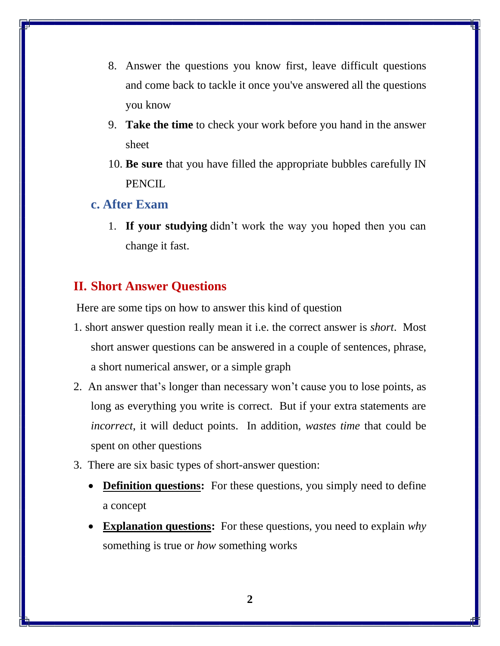- 8. Answer the questions you know first, leave difficult questions and come back to tackle it once you've answered all the questions you know
- 9. **Take the time** to check your work before you hand in the answer sheet
- 10. **Be sure** that you have filled the appropriate bubbles carefully IN **PENCIL**

#### **c. After Exam**

1. **If your studying** [didn't work the way you hoped then you can](https://www.smartstudentsecrets.com/get-better-grades-17-scientific-strategies-hack-studying/)  [change it fast.](https://www.smartstudentsecrets.com/get-better-grades-17-scientific-strategies-hack-studying/)

### **II. Short Answer Questions**

Here are some tips on how to answer this kind of question

- 1. short answer question really mean it i.e. the correct answer is *short*. Most short answer questions can be answered in a couple of sentences, phrase, a short numerical answer, or a simple graph
- 2. An answer that's longer than necessary won't cause you to lose points, as long as everything you write is correct. But if your extra statements are *incorrect*, it will deduct points. In addition, *wastes time* that could be spent on other questions
- 3. There are six basic types of short-answer question:
	- **Definition questions:** For these questions, you simply need to define a concept
	- **Explanation questions:** For these questions, you need to explain *why* something is true or *how* something works